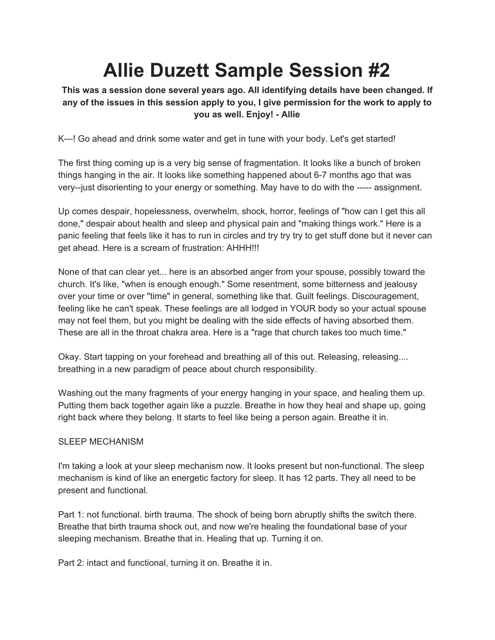# **Allie Duzett Sample Session #2**

## **This was a session done several years ago. All identifying details have been changed. If any of the issues in this session apply to you, I give permission for the work to apply to you as well. Enjoy! - Allie**

K---! Go ahead and drink some water and get in tune with your body. Let's get started!

The first thing coming up is a very big sense of fragmentation. It looks like a bunch of broken things hanging in the air. It looks like something happened about 6-7 months ago that was very--just disorienting to your energy or something. May have to do with the ----- assignment.

Up comes despair, hopelessness, overwhelm, shock, horror, feelings of "how can I get this all done," despair about health and sleep and physical pain and "making things work." Here is a panic feeling that feels like it has to run in circles and try try try to get stuff done but it never can get ahead. Here is a scream of frustration: AHHH!!!

None of that can clear yet... here is an absorbed anger from your spouse, possibly toward the church. It's like, "when is enough enough." Some resentment, some bitterness and jealousy over your time or over "time" in general, something like that. Guilt feelings. Discouragement, feeling like he can't speak. These feelings are all lodged in YOUR body so your actual spouse may not feel them, but you might be dealing with the side effects of having absorbed them. These are all in the throat chakra area. Here is a "rage that church takes too much time."

Okay. Start tapping on your forehead and breathing all of this out. Releasing, releasing.... breathing in a new paradigm of peace about church responsibility.

Washing out the many fragments of your energy hanging in your space, and healing them up. Putting them back together again like a puzzle. Breathe in how they heal and shape up, going right back where they belong. It starts to feel like being a person again. Breathe it in.

### SLEEP MECHANISM

I'm taking a look at your sleep mechanism now. It looks present but non-functional. The sleep mechanism is kind of like an energetic factory for sleep. It has 12 parts. They all need to be present and functional.

Part 1: not functional. birth trauma. The shock of being born abruptly shifts the switch there. Breathe that birth trauma shock out, and now we're healing the foundational base of your sleeping mechanism. Breathe that in. Healing that up. Turning it on.

Part 2: intact and functional, turning it on. Breathe it in.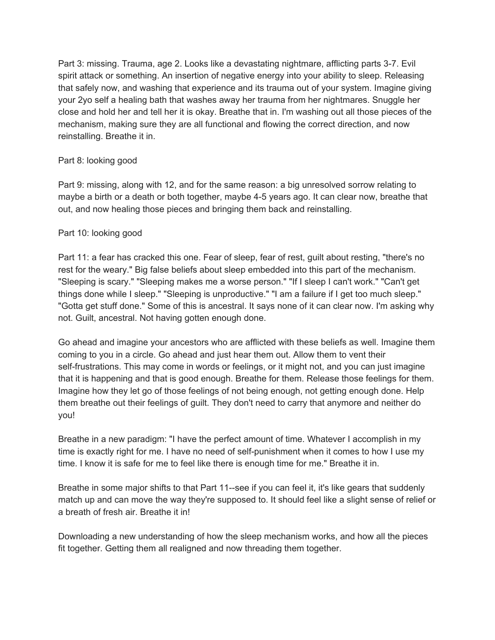Part 3: missing. Trauma, age 2. Looks like a devastating nightmare, afflicting parts 3-7. Evil spirit attack or something. An insertion of negative energy into your ability to sleep. Releasing that safely now, and washing that experience and its trauma out of your system. Imagine giving your 2yo self a healing bath that washes away her trauma from her nightmares. Snuggle her close and hold her and tell her it is okay. Breathe that in. I'm washing out all those pieces of the mechanism, making sure they are all functional and flowing the correct direction, and now reinstalling. Breathe it in.

### Part 8: looking good

Part 9: missing, along with 12, and for the same reason: a big unresolved sorrow relating to maybe a birth or a death or both together, maybe 4-5 years ago. It can clear now, breathe that out, and now healing those pieces and bringing them back and reinstalling.

#### Part 10: looking good

Part 11: a fear has cracked this one. Fear of sleep, fear of rest, guilt about resting, "there's no rest for the weary." Big false beliefs about sleep embedded into this part of the mechanism. "Sleeping is scary." "Sleeping makes me a worse person." "If I sleep I can't work." "Can't get things done while I sleep." "Sleeping is unproductive." "I am a failure if I get too much sleep." "Gotta get stuff done." Some of this is ancestral. It says none of it can clear now. I'm asking why not. Guilt, ancestral. Not having gotten enough done.

Go ahead and imagine your ancestors who are afflicted with these beliefs as well. Imagine them coming to you in a circle. Go ahead and just hear them out. Allow them to vent their self-frustrations. This may come in words or feelings, or it might not, and you can just imagine that it is happening and that is good enough. Breathe for them. Release those feelings for them. Imagine how they let go of those feelings of not being enough, not getting enough done. Help them breathe out their feelings of guilt. They don't need to carry that anymore and neither do you!

Breathe in a new paradigm: "I have the perfect amount of time. Whatever I accomplish in my time is exactly right for me. I have no need of self-punishment when it comes to how I use my time. I know it is safe for me to feel like there is enough time for me." Breathe it in.

Breathe in some major shifts to that Part 11--see if you can feel it, it's like gears that suddenly match up and can move the way they're supposed to. It should feel like a slight sense of relief or a breath of fresh air. Breathe it in!

Downloading a new understanding of how the sleep mechanism works, and how all the pieces fit together. Getting them all realigned and now threading them together.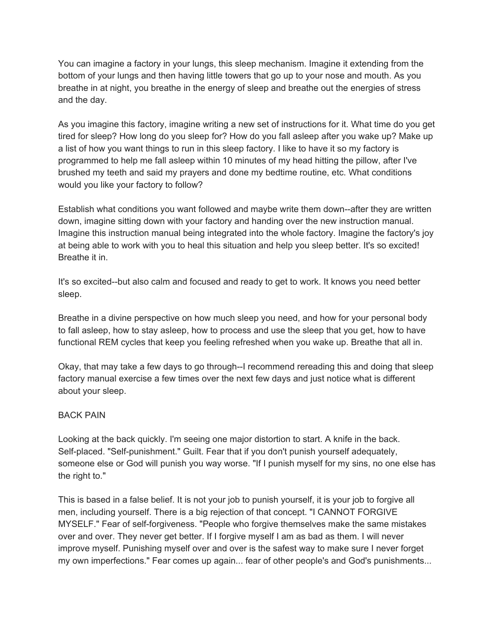You can imagine a factory in your lungs, this sleep mechanism. Imagine it extending from the bottom of your lungs and then having little towers that go up to your nose and mouth. As you breathe in at night, you breathe in the energy of sleep and breathe out the energies of stress and the day.

As you imagine this factory, imagine writing a new set of instructions for it. What time do you get tired for sleep? How long do you sleep for? How do you fall asleep after you wake up? Make up a list of how you want things to run in this sleep factory. I like to have it so my factory is programmed to help me fall asleep within 10 minutes of my head hitting the pillow, after I've brushed my teeth and said my prayers and done my bedtime routine, etc. What conditions would you like your factory to follow?

Establish what conditions you want followed and maybe write them down--after they are written down, imagine sitting down with your factory and handing over the new instruction manual. Imagine this instruction manual being integrated into the whole factory. Imagine the factory's joy at being able to work with you to heal this situation and help you sleep better. It's so excited! Breathe it in.

It's so excited--but also calm and focused and ready to get to work. It knows you need better sleep.

Breathe in a divine perspective on how much sleep you need, and how for your personal body to fall asleep, how to stay asleep, how to process and use the sleep that you get, how to have functional REM cycles that keep you feeling refreshed when you wake up. Breathe that all in.

Okay, that may take a few days to go through--I recommend rereading this and doing that sleep factory manual exercise a few times over the next few days and just notice what is different about your sleep.

#### BACK PAIN

Looking at the back quickly. I'm seeing one major distortion to start. A knife in the back. Self-placed. "Self-punishment." Guilt. Fear that if you don't punish yourself adequately, someone else or God will punish you way worse. "If I punish myself for my sins, no one else has the right to."

This is based in a false belief. It is not your job to punish yourself, it is your job to forgive all men, including yourself. There is a big rejection of that concept. "I CANNOT FORGIVE MYSELF." Fear of self-forgiveness. "People who forgive themselves make the same mistakes over and over. They never get better. If I forgive myself I am as bad as them. I will never improve myself. Punishing myself over and over is the safest way to make sure I never forget my own imperfections." Fear comes up again... fear of other people's and God's punishments...